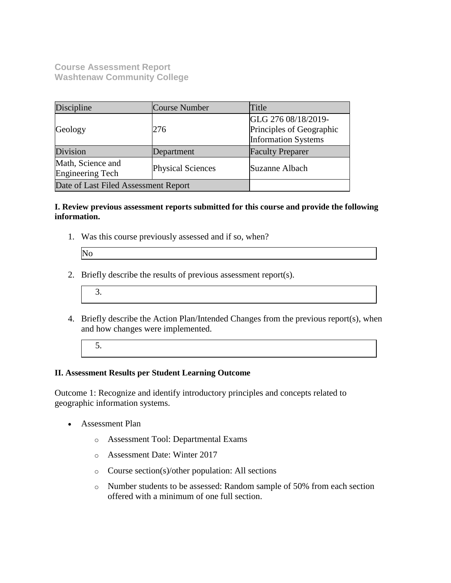**Course Assessment Report Washtenaw Community College**

| Discipline                                   | Course Number            | Title                                                                         |
|----------------------------------------------|--------------------------|-------------------------------------------------------------------------------|
| Geology                                      | 276                      | GLG 276 08/18/2019-<br>Principles of Geographic<br><b>Information Systems</b> |
| Division                                     | Department               | <b>Faculty Preparer</b>                                                       |
| Math, Science and<br><b>Engineering Tech</b> | <b>Physical Sciences</b> | Suzanne Albach                                                                |
| Date of Last Filed Assessment Report         |                          |                                                                               |

#### **I. Review previous assessment reports submitted for this course and provide the following information.**

1. Was this course previously assessed and if so, when?

| IN. |  |
|-----|--|
|     |  |
|     |  |
|     |  |

- 2. Briefly describe the results of previous assessment report(s).
	- 3.
- 4. Briefly describe the Action Plan/Intended Changes from the previous report(s), when and how changes were implemented.
	- 5.

### **II. Assessment Results per Student Learning Outcome**

Outcome 1: Recognize and identify introductory principles and concepts related to geographic information systems.

- Assessment Plan
	- o Assessment Tool: Departmental Exams
	- o Assessment Date: Winter 2017
	- o Course section(s)/other population: All sections
	- o Number students to be assessed: Random sample of 50% from each section offered with a minimum of one full section.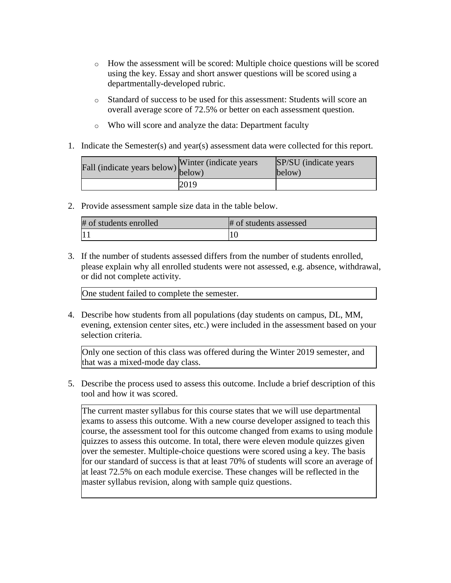- o How the assessment will be scored: Multiple choice questions will be scored using the key. Essay and short answer questions will be scored using a departmentally-developed rubric.
- o Standard of success to be used for this assessment: Students will score an overall average score of 72.5% or better on each assessment question.
- o Who will score and analyze the data: Department faculty
- 1. Indicate the Semester(s) and year(s) assessment data were collected for this report.

| $\angle$ fall (indicate years below) below) | Winter (indicate years) | SP/SU (indicate years)<br>below) |
|---------------------------------------------|-------------------------|----------------------------------|
|                                             | 2019                    |                                  |

2. Provide assessment sample size data in the table below.

| # of students enrolled | # of students assessed |
|------------------------|------------------------|
|                        |                        |

3. If the number of students assessed differs from the number of students enrolled, please explain why all enrolled students were not assessed, e.g. absence, withdrawal, or did not complete activity.

One student failed to complete the semester.

4. Describe how students from all populations (day students on campus, DL, MM, evening, extension center sites, etc.) were included in the assessment based on your selection criteria.

Only one section of this class was offered during the Winter 2019 semester, and that was a mixed-mode day class.

5. Describe the process used to assess this outcome. Include a brief description of this tool and how it was scored.

The current master syllabus for this course states that we will use departmental exams to assess this outcome. With a new course developer assigned to teach this course, the assessment tool for this outcome changed from exams to using module quizzes to assess this outcome. In total, there were eleven module quizzes given over the semester. Multiple-choice questions were scored using a key. The basis for our standard of success is that at least 70% of students will score an average of at least 72.5% on each module exercise. These changes will be reflected in the master syllabus revision, along with sample quiz questions.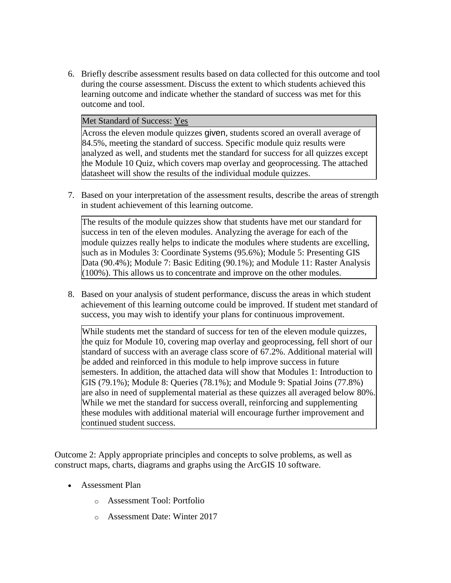6. Briefly describe assessment results based on data collected for this outcome and tool during the course assessment. Discuss the extent to which students achieved this learning outcome and indicate whether the standard of success was met for this outcome and tool.

#### Met Standard of Success: Yes

Across the eleven module quizzes given, students scored an overall average of 84.5%, meeting the standard of success. Specific module quiz results were analyzed as well, and students met the standard for success for all quizzes except the Module 10 Quiz, which covers map overlay and geoprocessing. The attached datasheet will show the results of the individual module quizzes.

7. Based on your interpretation of the assessment results, describe the areas of strength in student achievement of this learning outcome.

The results of the module quizzes show that students have met our standard for success in ten of the eleven modules. Analyzing the average for each of the module quizzes really helps to indicate the modules where students are excelling, such as in Modules 3: Coordinate Systems (95.6%); Module 5: Presenting GIS Data (90.4%); Module 7: Basic Editing (90.1%); and Module 11: Raster Analysis (100%). This allows us to concentrate and improve on the other modules.

8. Based on your analysis of student performance, discuss the areas in which student achievement of this learning outcome could be improved. If student met standard of success, you may wish to identify your plans for continuous improvement.

While students met the standard of success for ten of the eleven module quizzes, the quiz for Module 10, covering map overlay and geoprocessing, fell short of our standard of success with an average class score of 67.2%. Additional material will be added and reinforced in this module to help improve success in future semesters. In addition, the attached data will show that Modules 1: Introduction to GIS (79.1%); Module 8: Queries (78.1%); and Module 9: Spatial Joins (77.8%) are also in need of supplemental material as these quizzes all averaged below 80%. While we met the standard for success overall, reinforcing and supplementing these modules with additional material will encourage further improvement and continued student success.

Outcome 2: Apply appropriate principles and concepts to solve problems, as well as construct maps, charts, diagrams and graphs using the ArcGIS 10 software.

- Assessment Plan
	- o Assessment Tool: Portfolio
	- o Assessment Date: Winter 2017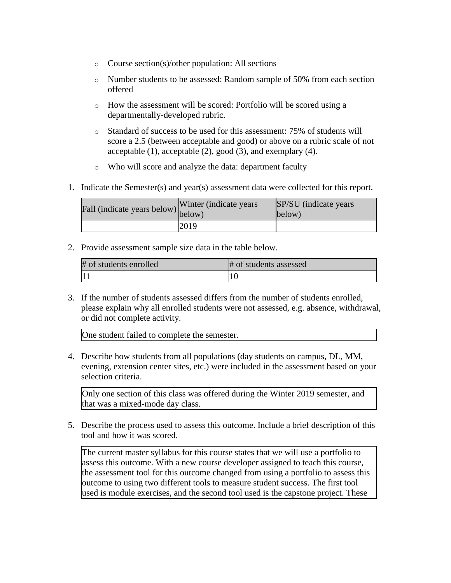- o Course section(s)/other population: All sections
- o Number students to be assessed: Random sample of 50% from each section offered
- o How the assessment will be scored: Portfolio will be scored using a departmentally-developed rubric.
- o Standard of success to be used for this assessment: 75% of students will score a 2.5 (between acceptable and good) or above on a rubric scale of not acceptable (1), acceptable (2), good (3), and exemplary (4).
- o Who will score and analyze the data: department faculty
- 1. Indicate the Semester(s) and year(s) assessment data were collected for this report.

| Fall (indicate years below) $\begin{bmatrix} \text{w}\text{ inter} \\ \text{below} \end{bmatrix}$ | Winter (indicate years) | SP/SU (indicate years)<br>below) |
|---------------------------------------------------------------------------------------------------|-------------------------|----------------------------------|
|                                                                                                   | 2019                    |                                  |

2. Provide assessment sample size data in the table below.

| # of students enrolled | # of students assessed |
|------------------------|------------------------|
|                        |                        |

3. If the number of students assessed differs from the number of students enrolled, please explain why all enrolled students were not assessed, e.g. absence, withdrawal, or did not complete activity.

One student failed to complete the semester.

4. Describe how students from all populations (day students on campus, DL, MM, evening, extension center sites, etc.) were included in the assessment based on your selection criteria.

Only one section of this class was offered during the Winter 2019 semester, and that was a mixed-mode day class.

5. Describe the process used to assess this outcome. Include a brief description of this tool and how it was scored.

The current master syllabus for this course states that we will use a portfolio to assess this outcome. With a new course developer assigned to teach this course, the assessment tool for this outcome changed from using a portfolio to assess this outcome to using two different tools to measure student success. The first tool used is module exercises, and the second tool used is the capstone project. These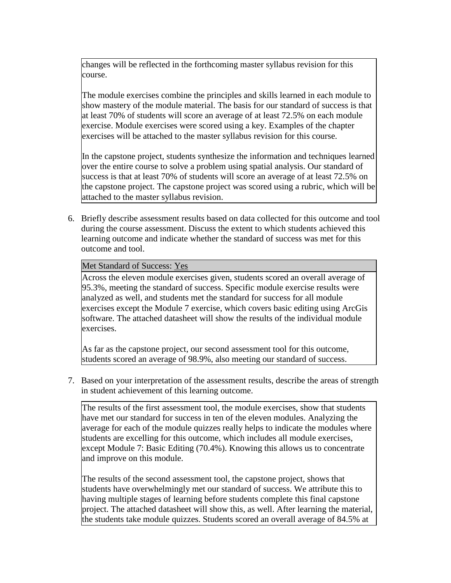changes will be reflected in the forthcoming master syllabus revision for this course.

The module exercises combine the principles and skills learned in each module to show mastery of the module material. The basis for our standard of success is that at least 70% of students will score an average of at least 72.5% on each module exercise. Module exercises were scored using a key. Examples of the chapter exercises will be attached to the master syllabus revision for this course.

In the capstone project, students synthesize the information and techniques learned over the entire course to solve a problem using spatial analysis. Our standard of success is that at least 70% of students will score an average of at least 72.5% on the capstone project. The capstone project was scored using a rubric, which will be attached to the master syllabus revision.

6. Briefly describe assessment results based on data collected for this outcome and tool during the course assessment. Discuss the extent to which students achieved this learning outcome and indicate whether the standard of success was met for this outcome and tool.

#### Met Standard of Success: Yes

Across the eleven module exercises given, students scored an overall average of 95.3%, meeting the standard of success. Specific module exercise results were analyzed as well, and students met the standard for success for all module exercises except the Module 7 exercise, which covers basic editing using ArcGis software. The attached datasheet will show the results of the individual module exercises.

As far as the capstone project, our second assessment tool for this outcome, students scored an average of 98.9%, also meeting our standard of success.

7. Based on your interpretation of the assessment results, describe the areas of strength in student achievement of this learning outcome.

The results of the first assessment tool, the module exercises, show that students have met our standard for success in ten of the eleven modules. Analyzing the average for each of the module quizzes really helps to indicate the modules where students are excelling for this outcome, which includes all module exercises, except Module 7: Basic Editing (70.4%). Knowing this allows us to concentrate and improve on this module.

The results of the second assessment tool, the capstone project, shows that students have overwhelmingly met our standard of success. We attribute this to having multiple stages of learning before students complete this final capstone project. The attached datasheet will show this, as well. After learning the material, the students take module quizzes. Students scored an overall average of 84.5% at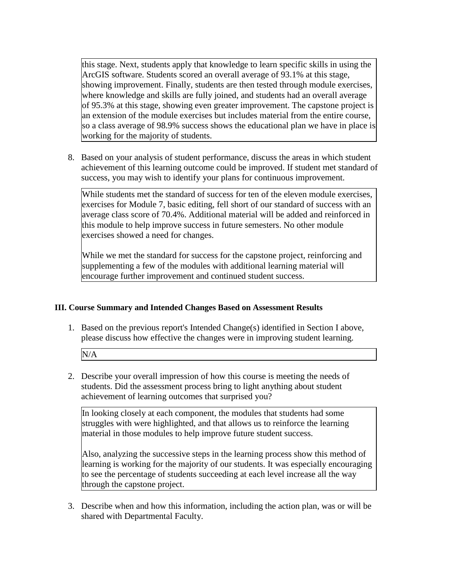this stage. Next, students apply that knowledge to learn specific skills in using the ArcGIS software. Students scored an overall average of 93.1% at this stage, showing improvement. Finally, students are then tested through module exercises, where knowledge and skills are fully joined, and students had an overall average of 95.3% at this stage, showing even greater improvement. The capstone project is an extension of the module exercises but includes material from the entire course, so a class average of 98.9% success shows the educational plan we have in place is working for the majority of students.

8. Based on your analysis of student performance, discuss the areas in which student achievement of this learning outcome could be improved. If student met standard of success, you may wish to identify your plans for continuous improvement.

While students met the standard of success for ten of the eleven module exercises, exercises for Module 7, basic editing, fell short of our standard of success with an average class score of 70.4%. Additional material will be added and reinforced in this module to help improve success in future semesters. No other module exercises showed a need for changes.

While we met the standard for success for the capstone project, reinforcing and supplementing a few of the modules with additional learning material will encourage further improvement and continued student success.

### **III. Course Summary and Intended Changes Based on Assessment Results**

1. Based on the previous report's Intended Change(s) identified in Section I above, please discuss how effective the changes were in improving student learning.

N/A

2. Describe your overall impression of how this course is meeting the needs of students. Did the assessment process bring to light anything about student achievement of learning outcomes that surprised you?

In looking closely at each component, the modules that students had some struggles with were highlighted, and that allows us to reinforce the learning material in those modules to help improve future student success.

Also, analyzing the successive steps in the learning process show this method of learning is working for the majority of our students. It was especially encouraging to see the percentage of students succeeding at each level increase all the way through the capstone project.

3. Describe when and how this information, including the action plan, was or will be shared with Departmental Faculty.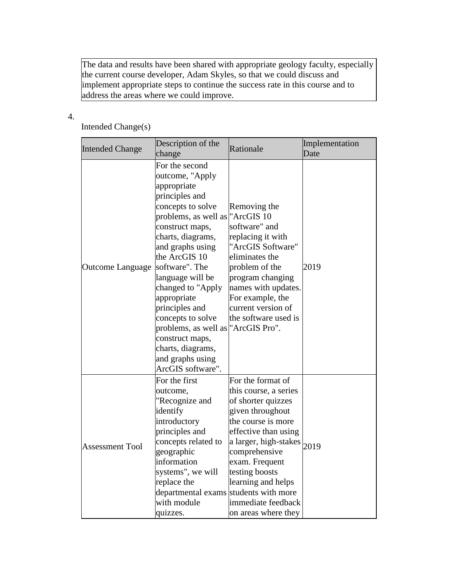The data and results have been shared with appropriate geology faculty, especially the current course developer, Adam Skyles, so that we could discuss and implement appropriate steps to continue the success rate in this course and to address the areas where we could improve.

## 4.

# Intended Change(s)

| <b>Intended Change</b> | Description of the<br>change                                                                                                                                                                                                                                                                                                                                                                                                         | Rationale                                                                                                                                                                                                                                                                                | Implementation<br>Date |
|------------------------|--------------------------------------------------------------------------------------------------------------------------------------------------------------------------------------------------------------------------------------------------------------------------------------------------------------------------------------------------------------------------------------------------------------------------------------|------------------------------------------------------------------------------------------------------------------------------------------------------------------------------------------------------------------------------------------------------------------------------------------|------------------------|
| Outcome Language       | For the second<br>outcome, "Apply<br>appropriate<br>principles and<br>concepts to solve<br>problems, as well as<br>construct maps,<br>charts, diagrams,<br>and graphs using<br>the ArcGIS 10<br>software". The<br>language will be<br>changed to "Apply<br>appropriate<br>principles and<br>concepts to solve<br>problems, as well as "ArcGIS Pro".<br>construct maps,<br>charts, diagrams,<br>and graphs using<br>ArcGIS software". | Removing the<br>"ArcGIS 10<br>software" and<br>replacing it with<br>"ArcGIS Software"<br>eliminates the<br>problem of the<br>program changing<br>names with updates.<br>For example, the<br>current version of<br>the software used is                                                   | 2019                   |
| <b>Assessment Tool</b> | For the first<br>outcome,<br>"Recognize and<br>identify<br>introductory<br>principles and<br>concepts related to<br>geographic<br>information<br>systems", we will<br>replace the<br>departmental exams students with more<br>with module<br>quizzes.                                                                                                                                                                                | For the format of<br>this course, a series<br>of shorter quizzes<br>given throughout<br>the course is more<br>effective than using<br>a larger, high-stakes 2019<br>comprehensive<br>exam. Frequent<br>testing boosts<br>learning and helps<br>immediate feedback<br>on areas where they |                        |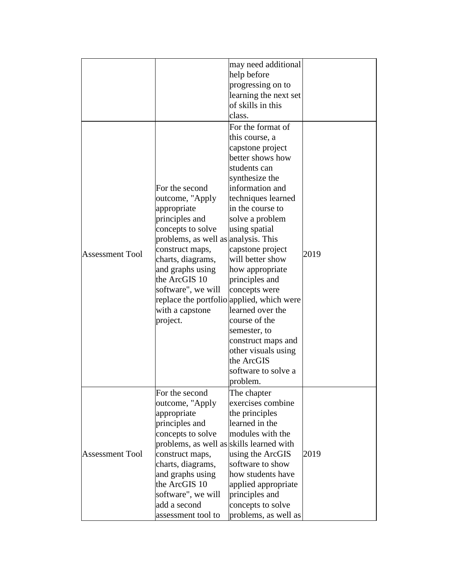|                        |                                          | may need additional                       |      |
|------------------------|------------------------------------------|-------------------------------------------|------|
|                        |                                          | help before                               |      |
|                        |                                          | progressing on to                         |      |
|                        |                                          | learning the next set                     |      |
|                        |                                          | of skills in this                         |      |
|                        |                                          | class.                                    |      |
|                        |                                          | For the format of                         |      |
|                        |                                          | this course, a                            |      |
|                        |                                          | capstone project                          |      |
|                        |                                          | better shows how                          |      |
|                        |                                          | students can                              |      |
|                        |                                          | synthesize the                            |      |
|                        | For the second                           | information and                           |      |
|                        | outcome, "Apply                          | techniques learned                        |      |
|                        | appropriate                              | in the course to                          |      |
|                        | principles and                           | solve a problem                           |      |
|                        | concepts to solve                        | using spatial                             |      |
|                        | problems, as well as analysis. This      |                                           |      |
| <b>Assessment Tool</b> | construct maps,                          | capstone project                          | 2019 |
|                        | charts, diagrams,                        | will better show                          |      |
|                        | and graphs using                         | how appropriate                           |      |
|                        | the ArcGIS 10                            | principles and                            |      |
|                        | software", we will                       | concepts were                             |      |
|                        |                                          | replace the portfolio applied, which were |      |
|                        | with a capstone                          | learned over the                          |      |
|                        | project.                                 | course of the                             |      |
|                        |                                          | semester, to                              |      |
|                        |                                          | construct maps and                        |      |
|                        |                                          | other visuals using                       |      |
|                        |                                          | the ArcGIS                                |      |
|                        |                                          | software to solve a                       |      |
|                        |                                          | problem.                                  |      |
|                        | For the second                           | The chapter                               |      |
|                        | outcome, "Apply                          | exercises combine                         |      |
| <b>Assessment Tool</b> | appropriate                              | the principles                            |      |
|                        | principles and                           | learned in the                            |      |
|                        | concepts to solve                        | modules with the                          |      |
|                        | problems, as well as skills learned with |                                           |      |
|                        | construct maps,                          | using the ArcGIS                          | 2019 |
|                        | charts, diagrams,                        | software to show                          |      |
|                        | and graphs using                         | how students have                         |      |
|                        | the ArcGIS 10                            | applied appropriate                       |      |
|                        | software", we will                       | principles and                            |      |
|                        | add a second                             | concepts to solve                         |      |
|                        | assessment tool to                       | problems, as well as                      |      |